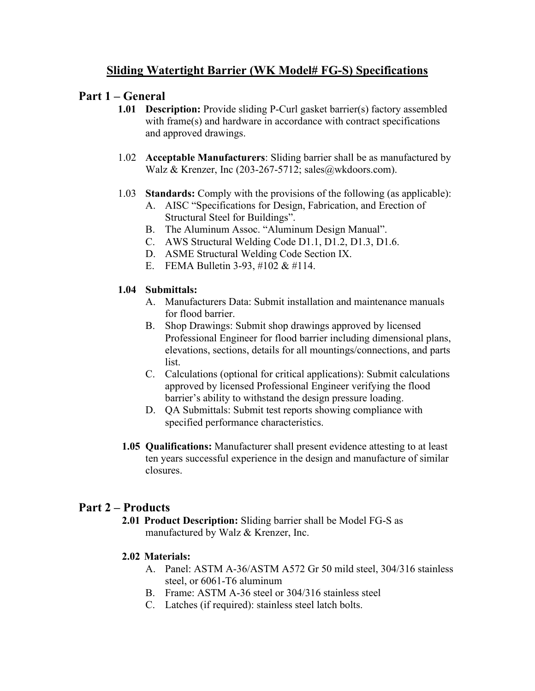# **Sliding Watertight Barrier (WK Model# FG-S) Specifications**

## **Part 1 – General**

- **1.01 Description:** Provide sliding P-Curl gasket barrier(s) factory assembled with frame(s) and hardware in accordance with contract specifications and approved drawings.
- 1.02 **Acceptable Manufacturers**: Sliding barrier shall be as manufactured by Walz & Krenzer, Inc (203-267-5712; sales@wkdoors.com).
- 1.03 **Standards:** Comply with the provisions of the following (as applicable):
	- A. AISC "Specifications for Design, Fabrication, and Erection of Structural Steel for Buildings".
	- B. The Aluminum Assoc. "Aluminum Design Manual".
	- C. AWS Structural Welding Code D1.1, D1.2, D1.3, D1.6.
	- D. ASME Structural Welding Code Section IX.
	- E. FEMA Bulletin 3-93, #102 & #114.

## **1.04 Submittals:**

- A. Manufacturers Data: Submit installation and maintenance manuals for flood barrier.
- B. Shop Drawings: Submit shop drawings approved by licensed Professional Engineer for flood barrier including dimensional plans, elevations, sections, details for all mountings/connections, and parts list.
- C. Calculations (optional for critical applications): Submit calculations approved by licensed Professional Engineer verifying the flood barrier's ability to withstand the design pressure loading.
- D. QA Submittals: Submit test reports showing compliance with specified performance characteristics.
- **1.05 Qualifications:** Manufacturer shall present evidence attesting to at least ten years successful experience in the design and manufacture of similar closures.

# **Part 2 – Products**

**2.01 Product Description:** Sliding barrier shall be Model FG-S as manufactured by Walz & Krenzer, Inc.

## **2.02 Materials:**

- A. Panel: ASTM A-36/ASTM A572 Gr 50 mild steel, 304/316 stainless steel, or 6061-T6 aluminum
- B. Frame: ASTM A-36 steel or 304/316 stainless steel
- C. Latches (if required): stainless steel latch bolts.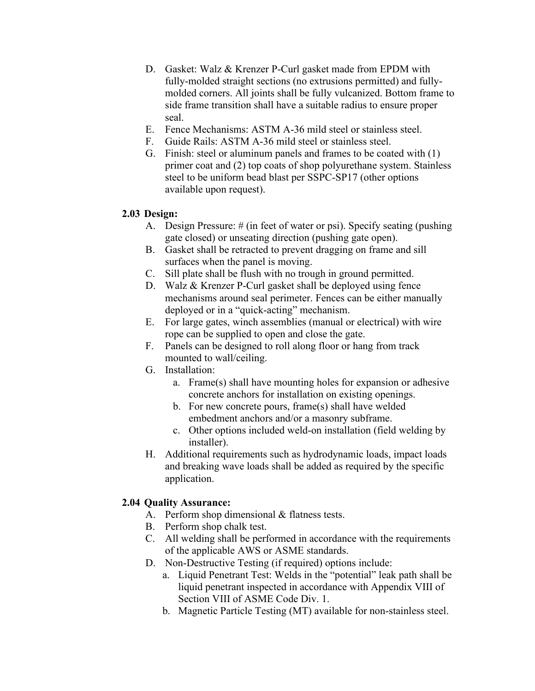- D. Gasket: Walz & Krenzer P-Curl gasket made from EPDM with fully-molded straight sections (no extrusions permitted) and fullymolded corners. All joints shall be fully vulcanized. Bottom frame to side frame transition shall have a suitable radius to ensure proper seal.
- E. Fence Mechanisms: ASTM A-36 mild steel or stainless steel.
- F. Guide Rails: ASTM A-36 mild steel or stainless steel.
- G. Finish: steel or aluminum panels and frames to be coated with (1) primer coat and (2) top coats of shop polyurethane system. Stainless steel to be uniform bead blast per SSPC-SP17 (other options available upon request).

#### **2.03 Design:**

- A. Design Pressure: # (in feet of water or psi). Specify seating (pushing gate closed) or unseating direction (pushing gate open).
- B. Gasket shall be retracted to prevent dragging on frame and sill surfaces when the panel is moving.
- C. Sill plate shall be flush with no trough in ground permitted.
- D. Walz & Krenzer P-Curl gasket shall be deployed using fence mechanisms around seal perimeter. Fences can be either manually deployed or in a "quick-acting" mechanism.
- E. For large gates, winch assemblies (manual or electrical) with wire rope can be supplied to open and close the gate.
- F. Panels can be designed to roll along floor or hang from track mounted to wall/ceiling.
- G. Installation:
	- a. Frame(s) shall have mounting holes for expansion or adhesive concrete anchors for installation on existing openings.
	- b. For new concrete pours, frame(s) shall have welded embedment anchors and/or a masonry subframe.
	- c. Other options included weld-on installation (field welding by installer).
- H. Additional requirements such as hydrodynamic loads, impact loads and breaking wave loads shall be added as required by the specific application.

## **2.04 Quality Assurance:**

- A. Perform shop dimensional & flatness tests.
- B. Perform shop chalk test.
- C. All welding shall be performed in accordance with the requirements of the applicable AWS or ASME standards.
- D. Non-Destructive Testing (if required) options include:
	- a. Liquid Penetrant Test: Welds in the "potential" leak path shall be liquid penetrant inspected in accordance with Appendix VIII of Section VIII of ASME Code Div. 1.
	- b. Magnetic Particle Testing (MT) available for non-stainless steel.